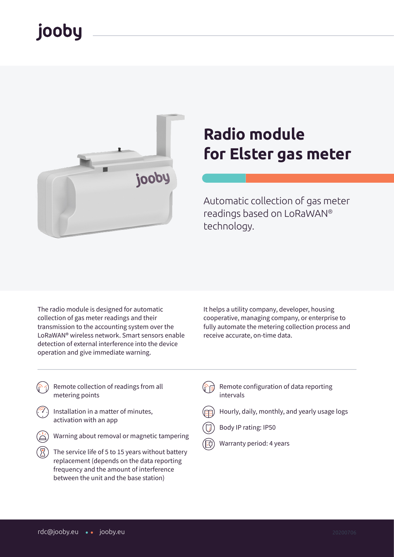# jooby



# **Radio module for Elster gas meter**

Automatic collection of gas meter readings based on LoRaWAN® technology.

The radio module is designed for automatic collection of gas meter readings and their transmission to the accounting system over the LoRaWAN® wireless network. Smart sensors enable detection of external interference into the device operation and give immediate warning.

It helps a utility company, developer, housing cooperative, managing company, or enterprise to fully automate the metering collection process and receive accurate, on-time data.

- Remote collection of readings from all metering points
- Installation in a matter of minutes, activation with an app
- Warning about removal or magnetic tampering
- The service life of 5 to 15 years without battery replacement (depends on the data reporting frequency and the amount of interference between the unit and the base station)
- Remote configuration of data reporting intervals
- Hourly, daily, monthly, and yearly usage logs
- Body IP rating: IP50
- Warranty period: 4 years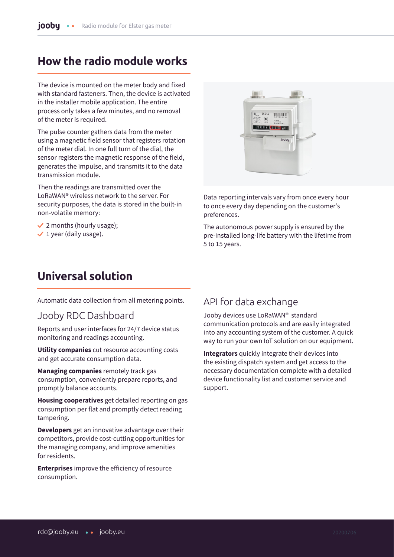#### **How the radio module works**

The device is mounted on the meter body and fixed with standard fasteners. Then, the device is activated in the installer mobile application. The entire process only takes a few minutes, and no removal of the meter is required.

The pulse counter gathers data from the meter using a magnetic field sensor that registers rotation of the meter dial. In one full turn of the dial, the sensor registers the magnetic response of the field, generates the impulse, and transmits it to the data transmission module.

Then the readings are transmitted over the LoRaWAN® wireless network to the server. For security purposes, the data is stored in the built-in non-volatile memory:

- $\vee$  2 months (hourly usage);
- $\checkmark$  1 year (daily usage).



Data reporting intervals vary from once every hour to once every day depending on the customer's preferences.

The autonomous power supply is ensured by the pre-installed long-life battery with the lifetime from 5 to 15 years.

### **Universal solution**

Automatic data collection from all metering points.

#### Jooby RDC Dashboard

Reports and user interfaces for 24/7 device status monitoring and readings accounting.

**Utility companies** cut resource accounting costs and get accurate consumption data.

**Managing companies** remotely track gas consumption, conveniently prepare reports, and promptly balance accounts.

**Housing cooperatives** get detailed reporting on gas consumption per flat and promptly detect reading tampering.

**Developers** get an innovative advantage over their competitors, provide cost-cutting opportunities for the managing company, and improve amenities for residents.

**Enterprises** improve the efficiency of resource consumption.

#### API for data exchange

Jooby devices use LoRaWAN® standard communication protocols and are easily integrated into any accounting system of the customer. A quick way to run your own IoT solution on our equipment.

**Integrators** quickly integrate their devices into the existing dispatch system and get access to the necessary documentation complete with a detailed device functionality list and customer service and support.